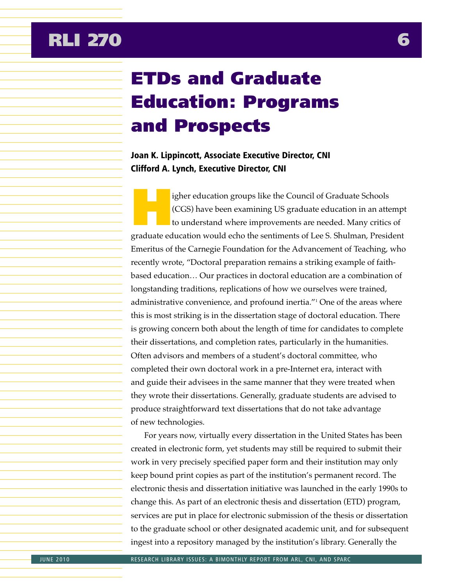# **RLI 270 6**

# ETDs and Graduate Education: Programs and Prospects

### Joan K. Lippincott, Associate Executive Director, CNI Clifford A. Lynch, Executive Director, CNI

igher education groups like the Council of Graduate Schools (CGS) have been examining US graduate education in an attempt to understand where improvements are needed. Many critics of graduate education would echo the sentiments of Lee S. Shulman, President Emeritus of the Carnegie Foundation for the Advancement of Teaching, who recently wrote, "Doctoral preparation remains a striking example of faithbased education… Our practices in doctoral education are a combination of longstanding traditions, replications of how we ourselves were trained, administrative convenience, and profound inertia.<sup>"1</sup> One of the areas where this is most striking is in the dissertation stage of doctoral education. There is growing concern both about the length of time for candidates to complete their dissertations, and completion rates, particularly in the humanities. Often advisors and members of a student's doctoral committee, who completed their own doctoral work in a pre-Internet era, interact with and guide their advisees in the same manner that they were treated when they wrote their dissertations. Generally, graduate students are advised to produce straightforward text dissertations that do not take advantage of new technologies.

For years now, virtually every dissertation in the United States has been created in electronic form, yet students may still be required to submit their work in very precisely specified paper form and their institution may only keep bound print copies as part of the institution's permanent record. The electronic thesis and dissertation initiative was launched in the early 1990s to change this. As part of an electronic thesis and dissertation (ETD) program, services are put in place for electronic submission of the thesis or dissertation to the graduate school or other designated academic unit, and for subsequent ingest into a repository managed by the institution's library. Generally the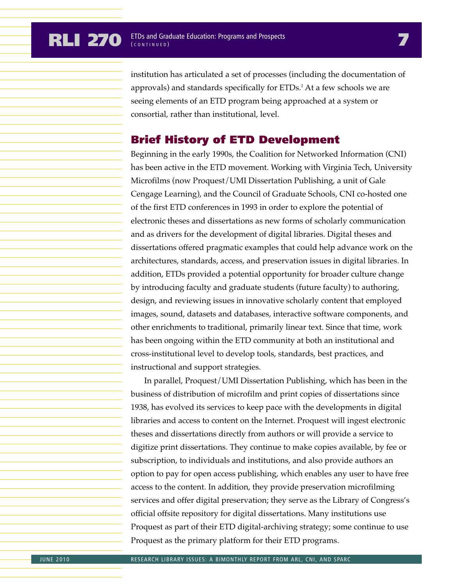institution has articulated a set of processes (including the documentation of approvals) and standards specifically for ETDs.<sup>2</sup> At a few schools we are seeing elements of an ETD program being approached at a system or consortial, rather than institutional, level.

### Brief History of ETD Development

Beginning in the early 1990s, the Coalition for Networked Information (CNI) has been active in the ETD movement. Working with Virginia Tech, University Microfilms (now Proquest/UMI Dissertation Publishing, a unit of Gale Cengage Learning), and the Council of Graduate Schools, CNI co-hosted one of the first ETD conferences in 1993 in order to explore the potential of electronic theses and dissertations as new forms of scholarly communication and as drivers for the development of digital libraries. Digital theses and dissertations offered pragmatic examples that could help advance work on the architectures, standards, access, and preservation issues in digital libraries. In addition, ETDs provided a potential opportunity for broader culture change by introducing faculty and graduate students (future faculty) to authoring, design, and reviewing issues in innovative scholarly content that employed images, sound, datasets and databases, interactive software components, and other enrichments to traditional, primarily linear text. Since that time, work has been ongoing within the ETD community at both an institutional and cross-institutional level to develop tools, standards, best practices, and instructional and support strategies.

In parallel, Proquest/UMI Dissertation Publishing, which has been in the business of distribution of microfilm and print copies of dissertations since 1938, has evolved its services to keep pace with the developments in digital libraries and access to content on the Internet. Proquest will ingest electronic theses and dissertations directly from authors or will provide a service to digitize print dissertations. They continue to make copies available, by fee or subscription, to individuals and institutions, and also provide authors an option to pay for open access publishing, which enables any user to have free access to the content. In addition, they provide preservation microfilming services and offer digital preservation; they serve as the Library of Congress's official offsite repository for digital dissertations. Many institutions use Proquest as part of their ETD digital-archiving strategy; some continue to use Proquest as the primary platform for their ETD programs.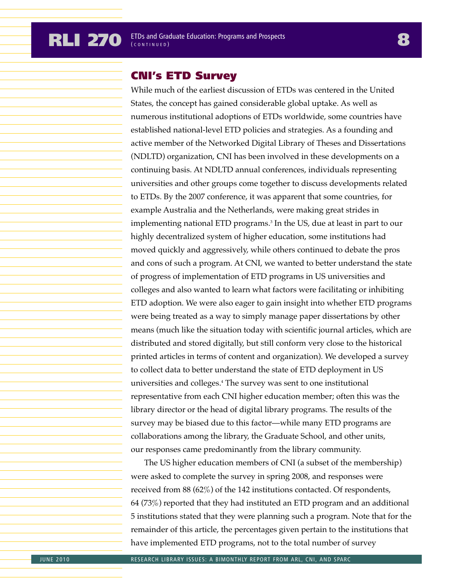# CNI's ETD Survey

While much of the earliest discussion of ETDs was centered in the United States, the concept has gained considerable global uptake. As well as numerous institutional adoptions of ETDs worldwide, some countries have established national-level ETD policies and strategies. As a founding and active member of the Networked Digital Library of Theses and Dissertations (NDLTD) organization, CNI has been involved in these developments on a continuing basis. At NDLTD annual conferences, individuals representing universities and other groups come together to discuss developments related to ETDs. By the 2007 conference, it was apparent that some countries, for example Australia and the Netherlands, were making great strides in implementing national ETD programs.3 In the US, due at least in part to our highly decentralized system of higher education, some institutions had moved quickly and aggressively, while others continued to debate the pros and cons of such a program. At CNI, we wanted to better understand the state of progress of implementation of ETD programs in US universities and colleges and also wanted to learn what factors were facilitating or inhibiting ETD adoption. We were also eager to gain insight into whether ETD programs were being treated as a way to simply manage paper dissertations by other means (much like the situation today with scientific journal articles, which are distributed and stored digitally, but still conform very close to the historical printed articles in terms of content and organization). We developed a survey to collect data to better understand the state of ETD deployment in US universities and colleges.4 The survey was sent to one institutional representative from each CNI higher education member; often this was the library director or the head of digital library programs. The results of the survey may be biased due to this factor—while many ETD programs are collaborations among the library, the Graduate School, and other units, our responses came predominantly from the library community.

The US higher education members of CNI (a subset of the membership) were asked to complete the survey in spring 2008, and responses were received from 88 (62%) of the 142 institutions contacted. Of respondents, 64 (73%) reported that they had instituted an ETD program and an additional 5 institutions stated that they were planning such a program. Note that for the remainder of this article, the percentages given pertain to the institutions that have implemented ETD programs, not to the total number of survey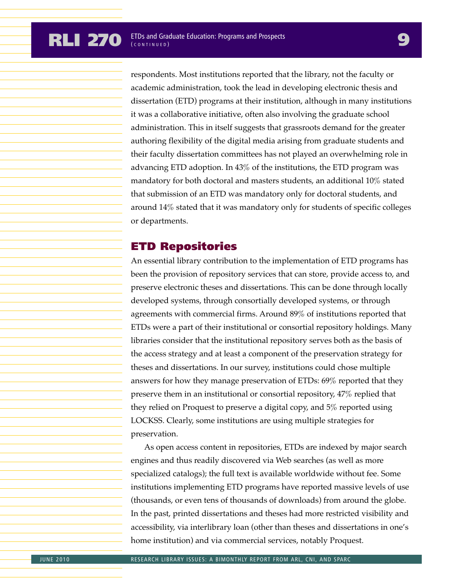respondents. Most institutions reported that the library, not the faculty or academic administration, took the lead in developing electronic thesis and dissertation (ETD) programs at their institution, although in many institutions it was a collaborative initiative, often also involving the graduate school administration. This in itself suggests that grassroots demand for the greater authoring flexibility of the digital media arising from graduate students and their faculty dissertation committees has not played an overwhelming role in advancing ETD adoption. In 43% of the institutions, the ETD program was mandatory for both doctoral and masters students, an additional 10% stated that submission of an ETD was mandatory only for doctoral students, and around 14% stated that it was mandatory only for students of specific colleges or departments.

# ETD Repositories

An essential library contribution to the implementation of ETD programs has been the provision of repository services that can store, provide access to, and preserve electronic theses and dissertations. This can be done through locally developed systems, through consortially developed systems, or through agreements with commercial firms. Around 89% of institutions reported that ETDs were a part of their institutional or consortial repository holdings. Many libraries consider that the institutional repository serves both as the basis of the access strategy and at least a component of the preservation strategy for theses and dissertations. In our survey, institutions could chose multiple answers for how they manage preservation of ETDs: 69% reported that they preserve them in an institutional or consortial repository, 47% replied that they relied on Proquest to preserve a digital copy, and 5% reported using LOCKSS. Clearly, some institutions are using multiple strategies for preservation.

As open access content in repositories, ETDs are indexed by major search engines and thus readily discovered via Web searches (as well as more specialized catalogs); the full text is available worldwide without fee. Some institutions implementing ETD programs have reported massive levels of use (thousands, or even tens of thousands of downloads) from around the globe. In the past, printed dissertations and theses had more restricted visibility and accessibility, via interlibrary loan (other than theses and dissertations in one's home institution) and via commercial services, notably Proquest.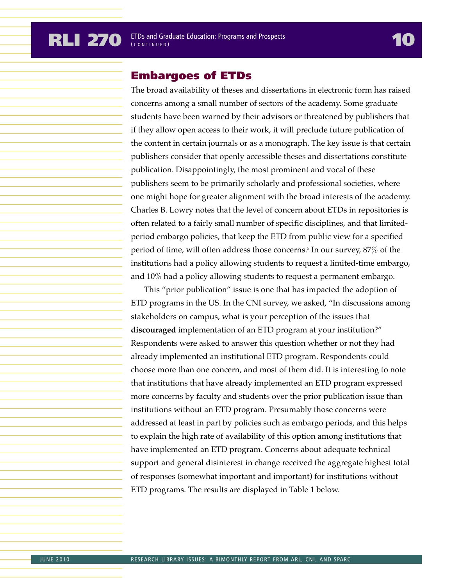### Embargoes of ETDs

The broad availability of theses and dissertations in electronic form has raised concerns among a small number of sectors of the academy. Some graduate students have been warned by their advisors or threatened by publishers that if they allow open access to their work, it will preclude future publication of the content in certain journals or as a monograph. The key issue is that certain publishers consider that openly accessible theses and dissertations constitute publication. Disappointingly, the most prominent and vocal of these publishers seem to be primarily scholarly and professional societies, where one might hope for greater alignment with the broad interests of the academy. Charles B. Lowry notes that the level of concern about ETDs in repositories is often related to a fairly small number of specific disciplines, and that limitedperiod embargo policies, that keep the ETD from public view for a specified period of time, will often address those concerns.5 In our survey, 87% of the institutions had a policy allowing students to request a limited-time embargo, and 10% had a policy allowing students to request a permanent embargo.

This "prior publication" issue is one that has impacted the adoption of ETD programs in the US. In the CNI survey, we asked, "In discussions among stakeholders on campus, what is your perception of the issues that **discouraged** implementation of an ETD program at your institution?" Respondents were asked to answer this question whether or not they had already implemented an institutional ETD program. Respondents could choose more than one concern, and most of them did. It is interesting to note that institutions that have already implemented an ETD program expressed more concerns by faculty and students over the prior publication issue than institutions without an ETD program. Presumably those concerns were addressed at least in part by policies such as embargo periods, and this helps to explain the high rate of availability of this option among institutions that have implemented an ETD program. Concerns about adequate technical support and general disinterest in change received the aggregate highest total of responses (somewhat important and important) for institutions without ETD programs. The results are displayed in Table 1 below.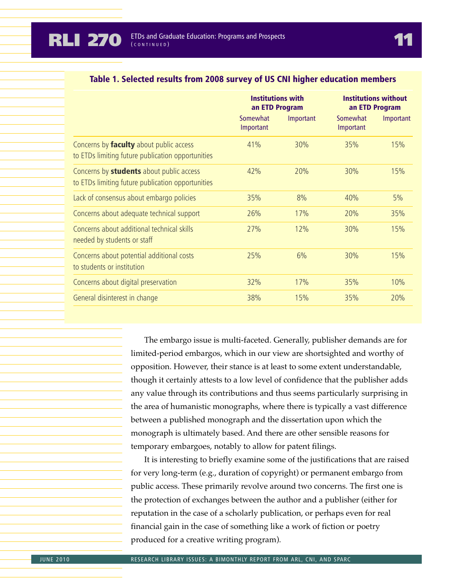|                                                                                               | <b>Institutions with</b><br>an ETD Program |           | <b>Institutions without</b><br>an ETD Program |           |
|-----------------------------------------------------------------------------------------------|--------------------------------------------|-----------|-----------------------------------------------|-----------|
|                                                                                               | Somewhat<br>Important                      | Important | Somewhat<br>Important                         | Important |
| Concerns by faculty about public access<br>to ETDs limiting future publication opportunities  | 41%                                        | 30%       | 35%                                           | 15%       |
| Concerns by students about public access<br>to ETDs limiting future publication opportunities | 42%                                        | 20%       | 30%                                           | 15%       |
| Lack of consensus about embargo policies                                                      | 35%                                        | 8%        | 40%                                           | 5%        |
| Concerns about adequate technical support                                                     | 26%                                        | 17%       | 20%                                           | 35%       |
| Concerns about additional technical skills<br>needed by students or staff                     | 27%                                        | 12%       | 30%                                           | 15%       |
| Concerns about potential additional costs<br>to students or institution                       | 25%                                        | 6%        | 30%                                           | 15%       |
| Concerns about digital preservation                                                           | 32%                                        | 17%       | 35%                                           | 10%       |
| General disinterest in change                                                                 | 38%                                        | 15%       | 35%                                           | 20%       |

#### Table 1. Selected results from 2008 survey of US CNI higher education members

The embargo issue is multi-faceted. Generally, publisher demands are for limited-period embargos, which in our view are shortsighted and worthy of opposition. However, their stance is at least to some extent understandable, though it certainly attests to a low level of confidence that the publisher adds any value through its contributions and thus seems particularly surprising in the area of humanistic monographs, where there is typically a vast difference between a published monograph and the dissertation upon which the monograph is ultimately based. And there are other sensible reasons for temporary embargoes, notably to allow for patent filings.

It is interesting to briefly examine some of the justifications that are raised for very long-term (e.g., duration of copyright) or permanent embargo from public access. These primarily revolve around two concerns. The first one is the protection of exchanges between the author and a publisher (either for reputation in the case of a scholarly publication, or perhaps even for real financial gain in the case of something like a work of fiction or poetry produced for a creative writing program).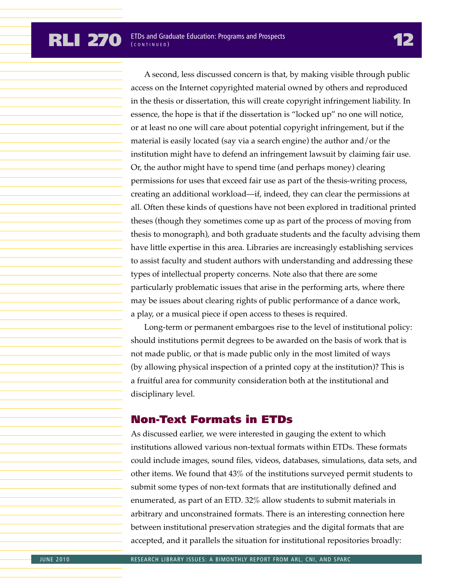A second, less discussed concern is that, by making visible through public access on the Internet copyrighted material owned by others and reproduced in the thesis or dissertation, this will create copyright infringement liability. In essence, the hope is that if the dissertation is "locked up" no one will notice, or at least no one will care about potential copyright infringement, but if the material is easily located (say via a search engine) the author and/or the institution might have to defend an infringement lawsuit by claiming fair use. Or, the author might have to spend time (and perhaps money) clearing permissions for uses that exceed fair use as part of the thesis-writing process, creating an additional workload—if, indeed, they can clear the permissions at all. Often these kinds of questions have not been explored in traditional printed theses (though they sometimes come up as part of the process of moving from thesis to monograph), and both graduate students and the faculty advising them have little expertise in this area. Libraries are increasingly establishing services to assist faculty and student authors with understanding and addressing these types of intellectual property concerns. Note also that there are some particularly problematic issues that arise in the performing arts, where there may be issues about clearing rights of public performance of a dance work, a play, or a musical piece if open access to theses is required.

Long-term or permanent embargoes rise to the level of institutional policy: should institutions permit degrees to be awarded on the basis of work that is not made public, or that is made public only in the most limited of ways (by allowing physical inspection of a printed copy at the institution)? This is a fruitful area for community consideration both at the institutional and disciplinary level.

### Non-Text Formats in ETDs

As discussed earlier, we were interested in gauging the extent to which institutions allowed various non-textual formats within ETDs. These formats could include images, sound files, videos, databases, simulations, data sets, and other items. We found that 43% of the institutions surveyed permit students to submit some types of non-text formats that are institutionally defined and enumerated, as part of an ETD. 32% allow students to submit materials in arbitrary and unconstrained formats. There is an interesting connection here between institutional preservation strategies and the digital formats that are accepted, and it parallels the situation for institutional repositories broadly: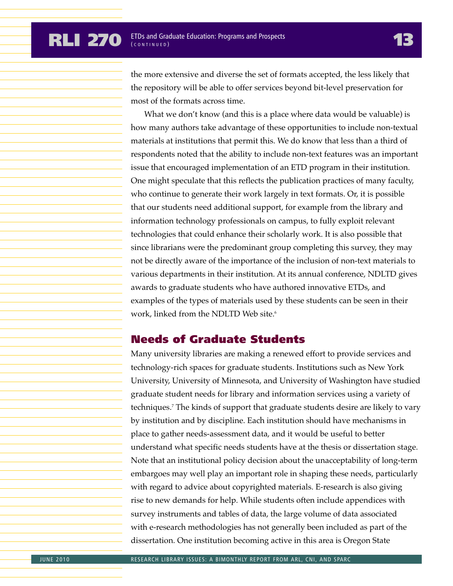the more extensive and diverse the set of formats accepted, the less likely that the repository will be able to offer services beyond bit-level preservation for most of the formats across time.

What we don't know (and this is a place where data would be valuable) is how many authors take advantage of these opportunities to include non-textual materials at institutions that permit this. We do know that less than a third of respondents noted that the ability to include non-text features was an important issue that encouraged implementation of an ETD program in their institution. One might speculate that this reflects the publication practices of many faculty, who continue to generate their work largely in text formats. Or, it is possible that our students need additional support, for example from the library and information technology professionals on campus, to fully exploit relevant technologies that could enhance their scholarly work. It is also possible that since librarians were the predominant group completing this survey, they may not be directly aware of the importance of the inclusion of non-text materials to various departments in their institution. At its annual conference, NDLTD gives awards to graduate students who have authored innovative ETDs, and examples of the types of materials used by these students can be seen in their work, linked from the NDLTD Web site.<sup>6</sup>

#### Needs of Graduate Students

Many university libraries are making a renewed effort to provide services and technology-rich spaces for graduate students. Institutions such as New York University, University of Minnesota, and University of Washington have studied graduate student needs for library and information services using a variety of techniques.7 The kinds of support that graduate students desire are likely to vary by institution and by discipline. Each institution should have mechanisms in place to gather needs-assessment data, and it would be useful to better understand what specific needs students have at the thesis or dissertation stage. Note that an institutional policy decision about the unacceptability of long-term embargoes may well play an important role in shaping these needs, particularly with regard to advice about copyrighted materials. E-research is also giving rise to new demands for help. While students often include appendices with survey instruments and tables of data, the large volume of data associated with e-research methodologies has not generally been included as part of the dissertation. One institution becoming active in this area is Oregon State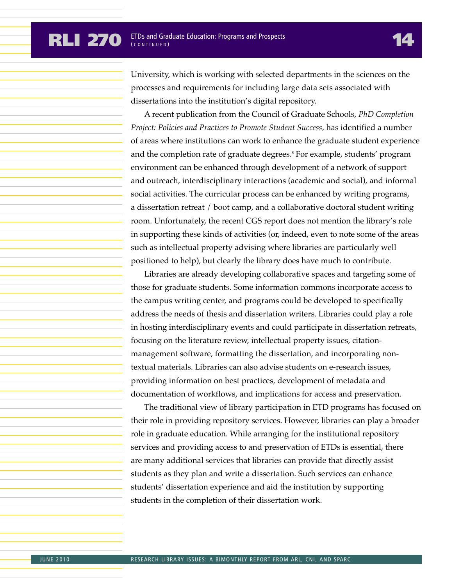#### **RLI 270 ETDs and Graduate Education: Programs and Prospects** ( CONTINUED )

University, which is working with selected departments in the sciences on the processes and requirements for including large data sets associated with dissertations into the institution's digital repository.

A recent publication from the Council of Graduate Schools, *PhD Completion Project: Policies and Practices to Promote Student Success,* has identified a number of areas where institutions can work to enhance the graduate student experience and the completion rate of graduate degrees.<sup>8</sup> For example, students' program environment can be enhanced through development of a network of support and outreach, interdisciplinary interactions (academic and social), and informal social activities. The curricular process can be enhanced by writing programs, a dissertation retreat / boot camp, and a collaborative doctoral student writing room. Unfortunately, the recent CGS report does not mention the library's role in supporting these kinds of activities (or, indeed, even to note some of the areas such as intellectual property advising where libraries are particularly well positioned to help), but clearly the library does have much to contribute.

Libraries are already developing collaborative spaces and targeting some of those for graduate students. Some information commons incorporate access to the campus writing center, and programs could be developed to specifically address the needs of thesis and dissertation writers. Libraries could play a role in hosting interdisciplinary events and could participate in dissertation retreats, focusing on the literature review, intellectual property issues, citationmanagement software, formatting the dissertation, and incorporating nontextual materials. Libraries can also advise students on e-research issues, providing information on best practices, development of metadata and documentation of workflows, and implications for access and preservation.

The traditional view of library participation in ETD programs has focused on their role in providing repository services. However, libraries can play a broader role in graduate education. While arranging for the institutional repository services and providing access to and preservation of ETDs is essential, there are many additional services that libraries can provide that directly assist students as they plan and write a dissertation. Such services can enhance students' dissertation experience and aid the institution by supporting students in the completion of their dissertation work.